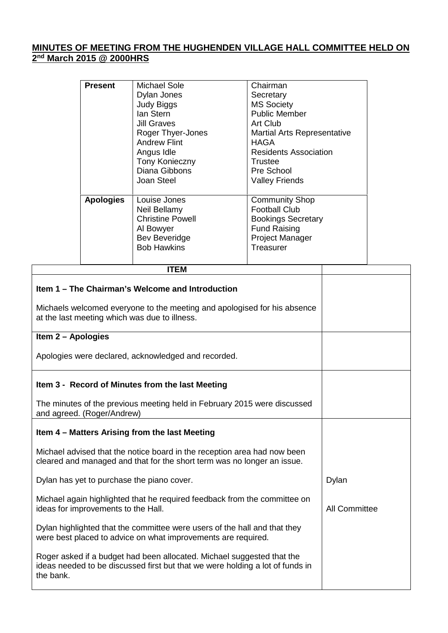# **MINUTES OF MEETING FROM THE HUGHENDEN VILLAGE HALL COMMITTEE HELD ON 2 nd March 2015 @ 2000HRS**

| <b>Present</b>   | Michael Sole<br>Dylan Jones<br><b>Judy Biggs</b><br>lan Stern<br>Jill Graves<br>Roger Thyer-Jones<br><b>Andrew Flint</b><br>Angus Idle<br>Tony Konieczny<br>Diana Gibbons<br>Joan Steel | Chairman<br>Secretary<br><b>MS Society</b><br><b>Public Member</b><br>Art Club<br><b>Martial Arts Representative</b><br>HAGA<br><b>Residents Association</b><br>Trustee<br>Pre School<br><b>Valley Friends</b> |
|------------------|-----------------------------------------------------------------------------------------------------------------------------------------------------------------------------------------|----------------------------------------------------------------------------------------------------------------------------------------------------------------------------------------------------------------|
| <b>Apologies</b> | Louise Jones<br>Neil Bellamy<br>Christine Powell<br>Al Bowyer<br>Bev Beveridge<br><b>Bob Hawkins</b>                                                                                    | <b>Community Shop</b><br><b>Football Club</b><br><b>Bookings Secretary</b><br><b>Fund Raising</b><br><b>Project Manager</b><br>Treasurer                                                                       |

| ITEM                                                                                                                                                                 |                      |
|----------------------------------------------------------------------------------------------------------------------------------------------------------------------|----------------------|
| Item 1 – The Chairman's Welcome and Introduction                                                                                                                     |                      |
| Michaels welcomed everyone to the meeting and apologised for his absence<br>at the last meeting which was due to illness.                                            |                      |
| Item 2 - Apologies                                                                                                                                                   |                      |
| Apologies were declared, acknowledged and recorded.                                                                                                                  |                      |
| Item 3 - Record of Minutes from the last Meeting                                                                                                                     |                      |
| The minutes of the previous meeting held in February 2015 were discussed<br>and agreed. (Roger/Andrew)                                                               |                      |
| Item 4 - Matters Arising from the last Meeting                                                                                                                       |                      |
| Michael advised that the notice board in the reception area had now been<br>cleared and managed and that for the short term was no longer an issue.                  |                      |
| Dylan has yet to purchase the piano cover.                                                                                                                           | Dylan                |
| Michael again highlighted that he required feedback from the committee on<br>ideas for improvements to the Hall.                                                     | <b>All Committee</b> |
| Dylan highlighted that the committee were users of the hall and that they<br>were best placed to advice on what improvements are required.                           |                      |
| Roger asked if a budget had been allocated. Michael suggested that the<br>ideas needed to be discussed first but that we were holding a lot of funds in<br>the bank. |                      |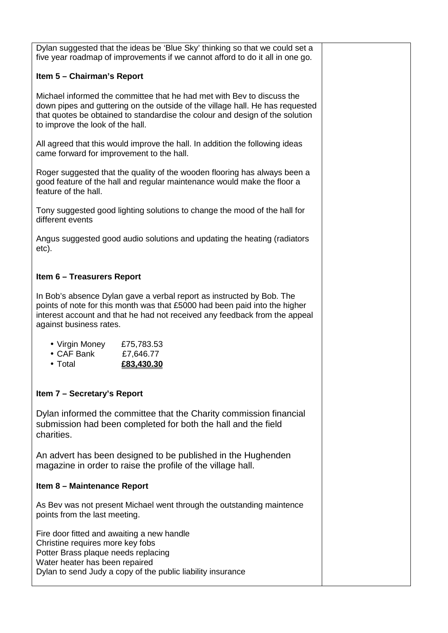Dylan suggested that the ideas be 'Blue Sky' thinking so that we could set a five year roadmap of improvements if we cannot afford to do it all in one go.

### **Item 5 – Chairman's Report**

Michael informed the committee that he had met with Bev to discuss the down pipes and guttering on the outside of the village hall. He has requested that quotes be obtained to standardise the colour and design of the solution to improve the look of the hall.

All agreed that this would improve the hall. In addition the following ideas came forward for improvement to the hall.

Roger suggested that the quality of the wooden flooring has always been a good feature of the hall and regular maintenance would make the floor a feature of the hall.

Tony suggested good lighting solutions to change the mood of the hall for different events

Angus suggested good audio solutions and updating the heating (radiators etc).

## **Item 6 – Treasurers Report**

In Bob's absence Dylan gave a verbal report as instructed by Bob. The points of note for this month was that £5000 had been paid into the higher interest account and that he had not received any feedback from the appeal against business rates.

|  | • Virgin Money | £75,783.53 |
|--|----------------|------------|
|  |                |            |

- CAF Bank £7,646.77
- Total **£83,430.30**

## **Item 7 – Secretary's Report**

Dylan informed the committee that the Charity commission financial submission had been completed for both the hall and the field charities.

An advert has been designed to be published in the Hughenden magazine in order to raise the profile of the village hall.

#### **Item 8 – Maintenance Report**

As Bev was not present Michael went through the outstanding maintence points from the last meeting.

Fire door fitted and awaiting a new handle Christine requires more key fobs Potter Brass plaque needs replacing Water heater has been repaired Dylan to send Judy a copy of the public liability insurance